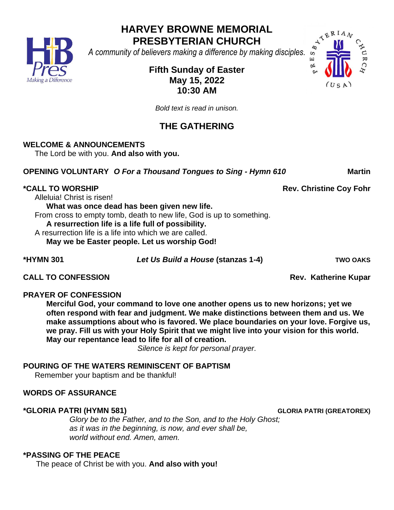**HARVEY BROWNE MEMORIAL PRESBYTERIAN CHURCH**

*A community of believers making a difference by making disciples.*

## **Fifth Sunday of Easter May 15, 2022 10:30 AM**

*Bold text is read in unison.* 

# **THE GATHERING**

## **WELCOME & ANNOUNCEMENTS**

The Lord be with you. **And also with you.**

**OPENING VOLUNTARY** *O For a Thousand Tongues to Sing - Hymn 610* **Martin** 

## **\*CALL TO WORSHIP Rev. Christine Coy Fohr**

Alleluia! Christ is risen!

**What was once dead has been given new life.** From cross to empty tomb, death to new life, God is up to something. **A resurrection life is a life full of possibility.** A resurrection life is a life into which we are called.

**May we be Easter people. Let us worship God!**

**\*HYMN 301** *Let Us Build a House* **(stanzas 1-4) TWO OAKS**

**CALL TO CONFESSION Rev. Katherine Kupar** 

## **PRAYER OF CONFESSION**

**Merciful God, your command to love one another opens us to new horizons; yet we often respond with fear and judgment. We make distinctions between them and us. We make assumptions about who is favored. We place boundaries on your love. Forgive us, we pray. Fill us with your Holy Spirit that we might live into your vision for this world. May our repentance lead to life for all of creation.** 

*Silence is kept for personal prayer.*

## **POURING OF THE WATERS REMINISCENT OF BAPTISM**

Remember your baptism and be thankful!

## **WORDS OF ASSURANCE**

## **\*GLORIA PATRI (HYMN 581) GLORIA PATRI (GREATOREX)**

*Glory be to the Father, and to the Son, and to the Holy Ghost; as it was in the beginning, is now, and ever shall be, world without end. Amen, amen.*

## **\*PASSING OF THE PEACE**

The peace of Christ be with you. **And also with you!**



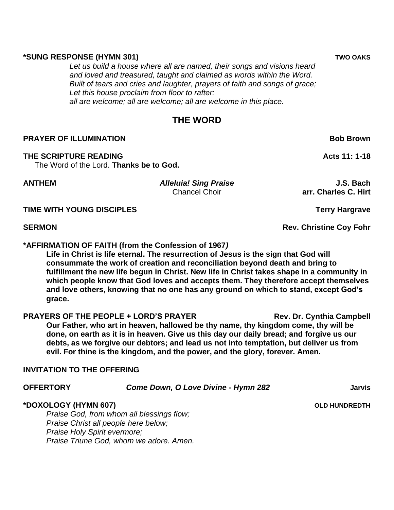#### **\*SUNG RESPONSE (HYMN 301) TWO OAKS**

*Let us build a house where all are named, their songs and visions heard and loved and treasured, taught and claimed as words within the Word. Built of tears and cries and laughter, prayers of faith and songs of grace; Let this house proclaim from floor to rafter: all are welcome; all are welcome; all are welcome in this place.*

## **THE WORD**

### **PRAYER OF ILLUMINATION Bob Brown**

#### **THE SCRIPTURE READING Acts 11: 1-18**

The Word of the Lord. **Thanks be to God.**

**ANTHEM** *Alleluia! Sing Praise* **J.S. Bach** Chancel Choir**arr. Charles C. Hirt**

**TIME WITH YOUNG DISCIPLES** TIME TERRY Hargrave

**\*AFFIRMATION OF FAITH (from the Confession of 1967***)*

**Life in Christ is life eternal. The resurrection of Jesus is the sign that God will consummate the work of creation and reconciliation beyond death and bring to fulfillment the new life begun in Christ. New life in Christ takes shape in a community in which people know that God loves and accepts them. They therefore accept themselves and love others, knowing that no one has any ground on which to stand, except God's grace.**

**PRAYERS OF THE PEOPLE + LORD'S PRAYER THE REV. Dr. Cynthia Campbell Our Father, who art in heaven, hallowed be thy name, thy kingdom come, thy will be done, on earth as it is in heaven. Give us this day our daily bread; and forgive us our debts, as we forgive our debtors; and lead us not into temptation, but deliver us from evil. For thine is the kingdom, and the power, and the glory, forever. Amen.**

### **INVITATION TO THE OFFERING**

*Praise God, from whom all blessings flow; Praise Christ all people here below; Praise Holy Spirit evermore; Praise Triune God, whom we adore. Amen.*

**SERMON Rev. Christine Coy Fohr** 

**OFFERTORY** *Come Down, O Love Divine - Hymn 282* **Jarvis \*DOXOLOGY (HYMN 607) OLD HUNDREDTH**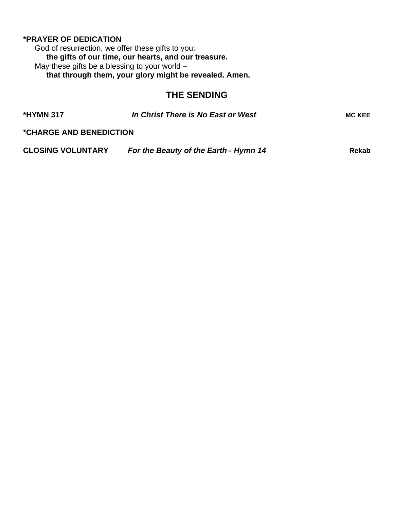### **\*PRAYER OF DEDICATION**

God of resurrection, we offer these gifts to you: **the gifts of our time, our hearts, and our treasure.** May these gifts be a blessing to your world  $$ **that through them, your glory might be revealed. Amen.**

## **THE SENDING**

| <b>*HYMN 317</b>                      | In Christ There is No East or West    | <b>MC KEE</b> |
|---------------------------------------|---------------------------------------|---------------|
| <i><b>*CHARGE AND BENEDICTION</b></i> |                                       |               |
| <b>CLOSING VOLUNTARY</b>              | For the Beauty of the Earth - Hymn 14 | Rekab         |